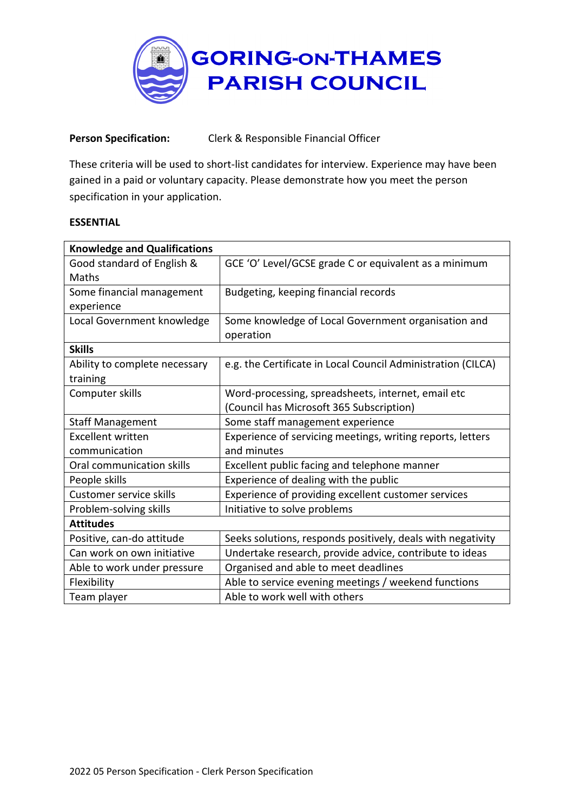

## **Person Specification:** Clerk & Responsible Financial Officer

These criteria will be used to short-list candidates for interview. Experience may have been gained in a paid or voluntary capacity. Please demonstrate how you meet the person specification in your application.

## **ESSENTIAL**

| <b>Knowledge and Qualifications</b> |                                                              |
|-------------------------------------|--------------------------------------------------------------|
| Good standard of English &          | GCE 'O' Level/GCSE grade C or equivalent as a minimum        |
| Maths                               |                                                              |
| Some financial management           | Budgeting, keeping financial records                         |
| experience                          |                                                              |
| Local Government knowledge          | Some knowledge of Local Government organisation and          |
|                                     | operation                                                    |
| <b>Skills</b>                       |                                                              |
| Ability to complete necessary       | e.g. the Certificate in Local Council Administration (CILCA) |
| training                            |                                                              |
| Computer skills                     | Word-processing, spreadsheets, internet, email etc           |
|                                     | (Council has Microsoft 365 Subscription)                     |
| <b>Staff Management</b>             | Some staff management experience                             |
| <b>Excellent written</b>            | Experience of servicing meetings, writing reports, letters   |
| communication                       | and minutes                                                  |
| Oral communication skills           | Excellent public facing and telephone manner                 |
| People skills                       | Experience of dealing with the public                        |
| Customer service skills             | Experience of providing excellent customer services          |
| Problem-solving skills              | Initiative to solve problems                                 |
| <b>Attitudes</b>                    |                                                              |
| Positive, can-do attitude           | Seeks solutions, responds positively, deals with negativity  |
| Can work on own initiative          | Undertake research, provide advice, contribute to ideas      |
| Able to work under pressure         | Organised and able to meet deadlines                         |
| Flexibility                         | Able to service evening meetings / weekend functions         |
| Team player                         | Able to work well with others                                |